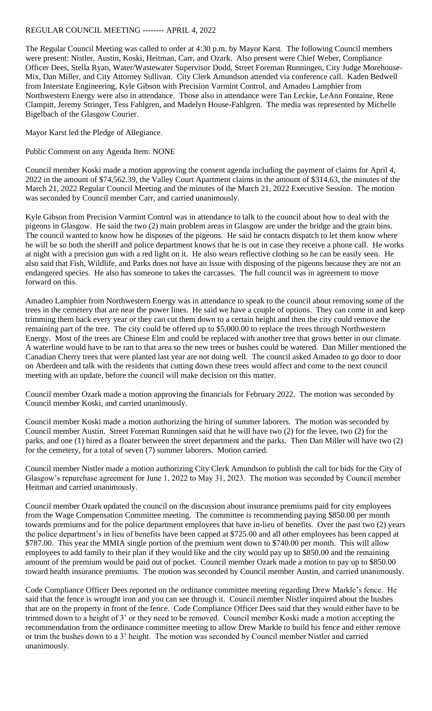## REGULAR COUNCIL MEETING -------- APRIL 4, 2022

The Regular Council Meeting was called to order at 4:30 p.m. by Mayor Karst. The following Council members were present: Nistler, Austin, Koski, Heitman, Carr, and Ozark. Also present were Chief Weber, Compliance Officer Dees, Stella Ryan, Water/Wastewater Supervisor Dodd, Street Foreman Runningen, City Judge Morehouse-Mix, Dan Miller, and City Attorney Sullivan. City Clerk Amundson attended via conference call. Kaden Bedwell from Interstate Engineering, Kyle Gibson with Precision Varmint Control, and Amadeo Lamphier from Northwestern Energy were also in attendance. Those also in attendance were Tan Leckie, LeAnn Fontaine, Rene Clampitt, Jeremy Stringer, Tess Fahlgren, and Madelyn House-Fahlgren. The media was represented by Michelle Bigelbach of the Glasgow Courier.

Mayor Karst led the Pledge of Allegiance.

Public Comment on any Agenda Item: NONE

Council member Koski made a motion approving the consent agenda including the payment of claims for April 4, 2022 in the amount of \$74,562.39, the Valley Court Apartment claims in the amount of \$314.63, the minutes of the March 21, 2022 Regular Council Meeting and the minutes of the March 21, 2022 Executive Session. The motion was seconded by Council member Carr, and carried unanimously.

Kyle Gibson from Precision Varmint Control was in attendance to talk to the council about how to deal with the pigeons in Glasgow. He said the two (2) main problem areas in Glasgow are under the bridge and the grain bins. The council wanted to know how he disposes of the pigeons. He said he contacts dispatch to let them know where he will be so both the sheriff and police department knows that he is out in case they receive a phone call. He works at night with a precision gun with a red light on it. He also wears reflective clothing so he can be easily seen. He also said that Fish, Wildlife, and Parks does not have an issue with disposing of the pigeons because they are not an endangered species. He also has someone to takes the carcasses. The full council was in agreement to move forward on this.

Amadeo Lamphier from Northwestern Energy was in attendance to speak to the council about removing some of the trees in the cemetery that are near the power lines. He said we have a couple of options. They can come in and keep trimming them back every year or they can cut them down to a certain height and then the city could remove the remaining part of the tree. The city could be offered up to \$5,000.00 to replace the trees through Northwestern Energy. Most of the trees are Chinese Elm and could be replaced with another tree that grows better in our climate. A waterline would have to be ran to that area so the new trees or bushes could be watered. Dan Miller mentioned the Canadian Cherry trees that were planted last year are not doing well. The council asked Amadeo to go door to door on Aberdeen and talk with the residents that cutting down these trees would affect and come to the next council meeting with an update, before the council will make decision on this matter.

Council member Ozark made a motion approving the financials for February 2022. The motion was seconded by Council member Koski, and carried unanimously.

Council member Koski made a motion authorizing the hiring of summer laborers. The motion was seconded by Council member Austin. Street Foreman Runningen said that he will have two (2) for the levee, two (2) for the parks, and one (1) hired as a floater between the street department and the parks. Then Dan Miller will have two (2) for the cemetery, for a total of seven (7) summer laborers. Motion carried.

Council member Nistler made a motion authorizing City Clerk Amundson to publish the call for bids for the City of Glasgow's repurchase agreement for June 1, 2022 to May 31, 2023. The motion was seconded by Council member Heitman and carried unanimously.

Council member Ozark updated the council on the discussion about insurance premiums paid for city employees from the Wage Compensation Committee meeting. The committee is recommending paying \$850.00 per month towards premiums and for the police department employees that have in-lieu of benefits. Over the past two (2) years the police department's in lieu of benefits have been capped at \$725.00 and all other employees has been capped at \$787.00. This year the MMIA single portion of the premium went down to \$740.00 per month. This will allow employees to add family to their plan if they would like and the city would pay up to \$850.00 and the remaining amount of the premium would be paid out of pocket. Council member Ozark made a motion to pay up to \$850.00 toward health insurance premiums. The motion was seconded by Council member Austin, and carried unanimously.

Code Compliance Officer Dees reported on the ordinance committee meeting regarding Drew Markle's fence. He said that the fence is wrought iron and you can see through it. Council member Nistler inquired about the bushes that are on the property in front of the fence. Code Compliance Officer Dees said that they would either have to be trimmed down to a height of 3' or they need to be removed. Council member Koski made a motion accepting the recommendation from the ordinance committee meeting to allow Drew Markle to build his fence and either remove or trim the bushes down to a 3' height. The motion was seconded by Council member Nistler and carried unanimously.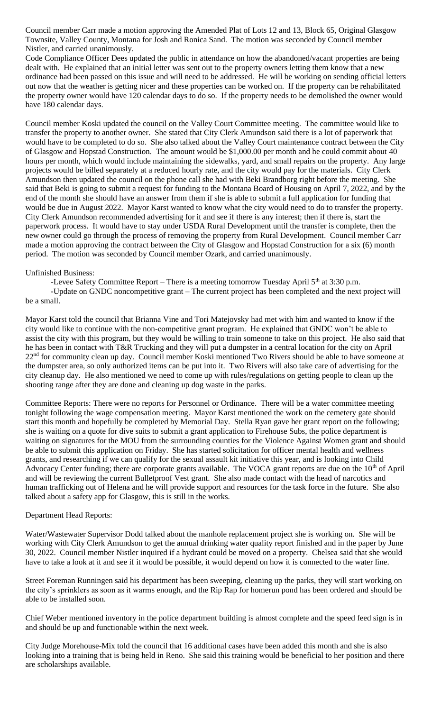Council member Carr made a motion approving the Amended Plat of Lots 12 and 13, Block 65, Original Glasgow Townsite, Valley County, Montana for Josh and Ronica Sand. The motion was seconded by Council member Nistler, and carried unanimously.

Code Compliance Officer Dees updated the public in attendance on how the abandoned/vacant properties are being dealt with. He explained that an initial letter was sent out to the property owners letting them know that a new ordinance had been passed on this issue and will need to be addressed. He will be working on sending official letters out now that the weather is getting nicer and these properties can be worked on. If the property can be rehabilitated the property owner would have 120 calendar days to do so. If the property needs to be demolished the owner would have 180 calendar days.

Council member Koski updated the council on the Valley Court Committee meeting. The committee would like to transfer the property to another owner. She stated that City Clerk Amundson said there is a lot of paperwork that would have to be completed to do so. She also talked about the Valley Court maintenance contract between the City of Glasgow and Hopstad Construction. The amount would be \$1,000.00 per month and he could commit about 40 hours per month, which would include maintaining the sidewalks, yard, and small repairs on the property. Any large projects would be billed separately at a reduced hourly rate, and the city would pay for the materials. City Clerk Amundson then updated the council on the phone call she had with Beki Brandborg right before the meeting. She said that Beki is going to submit a request for funding to the Montana Board of Housing on April 7, 2022, and by the end of the month she should have an answer from them if she is able to submit a full application for funding that would be due in August 2022. Mayor Karst wanted to know what the city would need to do to transfer the property. City Clerk Amundson recommended advertising for it and see if there is any interest; then if there is, start the paperwork process. It would have to stay under USDA Rural Development until the transfer is complete, then the new owner could go through the process of removing the property from Rural Development. Council member Carr made a motion approving the contract between the City of Glasgow and Hopstad Construction for a six (6) month period. The motion was seconded by Council member Ozark, and carried unanimously.

## Unfinished Business:

-Levee Safety Committee Report – There is a meeting tomorrow Tuesday April  $5<sup>th</sup>$  at 3:30 p.m. -Update on GNDC noncompetitive grant – The current project has been completed and the next project will be a small.

Mayor Karst told the council that Brianna Vine and Tori Matejovsky had met with him and wanted to know if the city would like to continue with the non-competitive grant program. He explained that GNDC won't be able to assist the city with this program, but they would be willing to train someone to take on this project. He also said that he has been in contact with T&R Trucking and they will put a dumpster in a central location for the city on April 22<sup>nd</sup> for community clean up day. Council member Koski mentioned Two Rivers should be able to have someone at the dumpster area, so only authorized items can be put into it. Two Rivers will also take care of advertising for the city cleanup day. He also mentioned we need to come up with rules/regulations on getting people to clean up the shooting range after they are done and cleaning up dog waste in the parks.

Committee Reports: There were no reports for Personnel or Ordinance. There will be a water committee meeting tonight following the wage compensation meeting. Mayor Karst mentioned the work on the cemetery gate should start this month and hopefully be completed by Memorial Day. Stella Ryan gave her grant report on the following; she is waiting on a quote for dive suits to submit a grant application to Firehouse Subs, the police department is waiting on signatures for the MOU from the surrounding counties for the Violence Against Women grant and should be able to submit this application on Friday. She has started solicitation for officer mental health and wellness grants, and researching if we can qualify for the sexual assault kit initiative this year, and is looking into Child Advocacy Center funding; there are corporate grants available. The VOCA grant reports are due on the 10<sup>th</sup> of April and will be reviewing the current Bulletproof Vest grant. She also made contact with the head of narcotics and human trafficking out of Helena and he will provide support and resources for the task force in the future. She also talked about a safety app for Glasgow, this is still in the works.

## Department Head Reports:

Water/Wastewater Supervisor Dodd talked about the manhole replacement project she is working on. She will be working with City Clerk Amundson to get the annual drinking water quality report finished and in the paper by June 30, 2022. Council member Nistler inquired if a hydrant could be moved on a property. Chelsea said that she would have to take a look at it and see if it would be possible, it would depend on how it is connected to the water line.

Street Foreman Runningen said his department has been sweeping, cleaning up the parks, they will start working on the city's sprinklers as soon as it warms enough, and the Rip Rap for homerun pond has been ordered and should be able to be installed soon.

Chief Weber mentioned inventory in the police department building is almost complete and the speed feed sign is in and should be up and functionable within the next week.

City Judge Morehouse-Mix told the council that 16 additional cases have been added this month and she is also looking into a training that is being held in Reno. She said this training would be beneficial to her position and there are scholarships available.